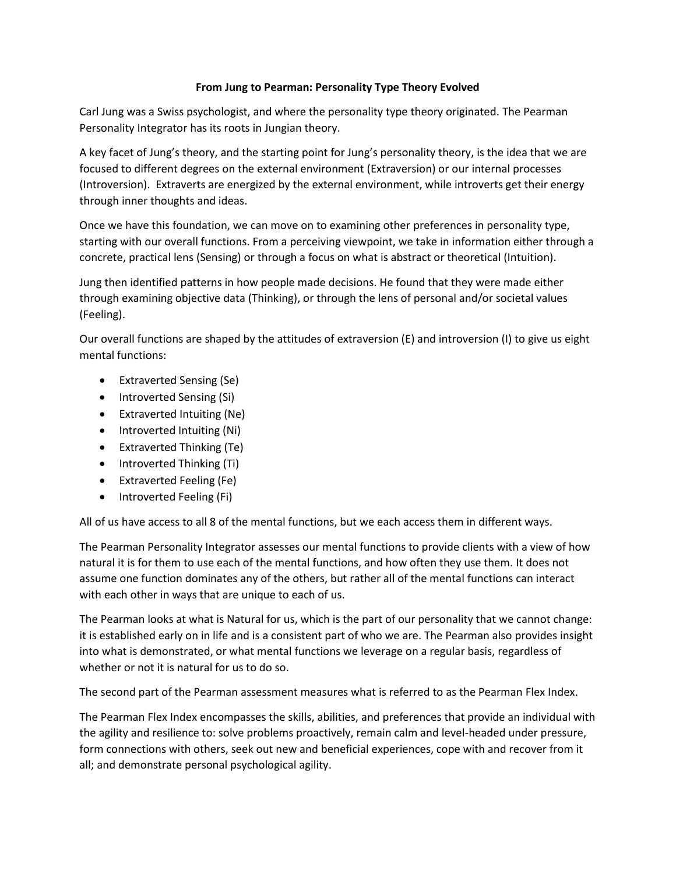## **From Jung to Pearman: Personality Type Theory Evolved**

Carl Jung was a Swiss psychologist, and where the personality type theory originated. The Pearman Personality Integrator has its roots in Jungian theory.

A key facet of Jung's theory, and the starting point for Jung's personality theory, is the idea that we are focused to different degrees on the external environment (Extraversion) or our internal processes (Introversion). Extraverts are energized by the external environment, while introverts get their energy through inner thoughts and ideas.

Once we have this foundation, we can move on to examining other preferences in personality type, starting with our overall functions. From a perceiving viewpoint, we take in information either through a concrete, practical lens (Sensing) or through a focus on what is abstract or theoretical (Intuition).

Jung then identified patterns in how people made decisions. He found that they were made either through examining objective data (Thinking), or through the lens of personal and/or societal values (Feeling).

Our overall functions are shaped by the attitudes of extraversion (E) and introversion (I) to give us eight mental functions:

- Extraverted Sensing (Se)
- Introverted Sensing (Si)
- Extraverted Intuiting (Ne)
- Introverted Intuiting (Ni)
- Extraverted Thinking (Te)
- Introverted Thinking (Ti)
- Extraverted Feeling (Fe)
- Introverted Feeling (Fi)

All of us have access to all 8 of the mental functions, but we each access them in different ways.

The Pearman Personality Integrator assesses our mental functions to provide clients with a view of how natural it is for them to use each of the mental functions, and how often they use them. It does not assume one function dominates any of the others, but rather all of the mental functions can interact with each other in ways that are unique to each of us.

The Pearman looks at what is Natural for us, which is the part of our personality that we cannot change: it is established early on in life and is a consistent part of who we are. The Pearman also provides insight into what is demonstrated, or what mental functions we leverage on a regular basis, regardless of whether or not it is natural for us to do so.

The second part of the Pearman assessment measures what is referred to as the Pearman Flex Index.

The Pearman Flex Index encompasses the skills, abilities, and preferences that provide an individual with the agility and resilience to: solve problems proactively, remain calm and level-headed under pressure, form connections with others, seek out new and beneficial experiences, cope with and recover from it all; and demonstrate personal psychological agility.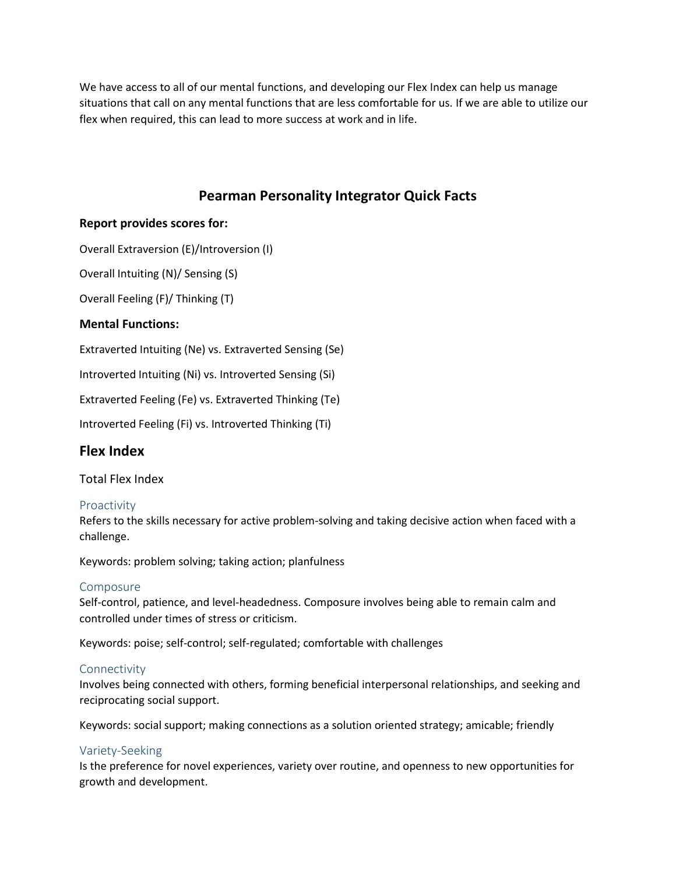We have access to all of our mental functions, and developing our Flex Index can help us manage situations that call on any mental functions that are less comfortable for us. If we are able to utilize our flex when required, this can lead to more success at work and in life.

# **Pearman Personality Integrator Quick Facts**

# **Report provides scores for:**

Overall Extraversion (E)/Introversion (I)

Overall Intuiting (N)/ Sensing (S)

Overall Feeling (F)/ Thinking (T)

# **Mental Functions:**

Extraverted Intuiting (Ne) vs. Extraverted Sensing (Se)

Introverted Intuiting (Ni) vs. Introverted Sensing (Si)

Extraverted Feeling (Fe) vs. Extraverted Thinking (Te)

Introverted Feeling (Fi) vs. Introverted Thinking (Ti)

# **Flex Index**

Total Flex Index

#### Proactivity

Refers to the skills necessary for active problem-solving and taking decisive action when faced with a challenge.

Keywords: problem solving; taking action; planfulness

#### Composure

Self-control, patience, and level-headedness. Composure involves being able to remain calm and controlled under times of stress or criticism.

Keywords: poise; self-control; self-regulated; comfortable with challenges

#### Connectivity

Involves being connected with others, forming beneficial interpersonal relationships, and seeking and reciprocating social support.

Keywords: social support; making connections as a solution oriented strategy; amicable; friendly

#### Variety-Seeking

Is the preference for novel experiences, variety over routine, and openness to new opportunities for growth and development.